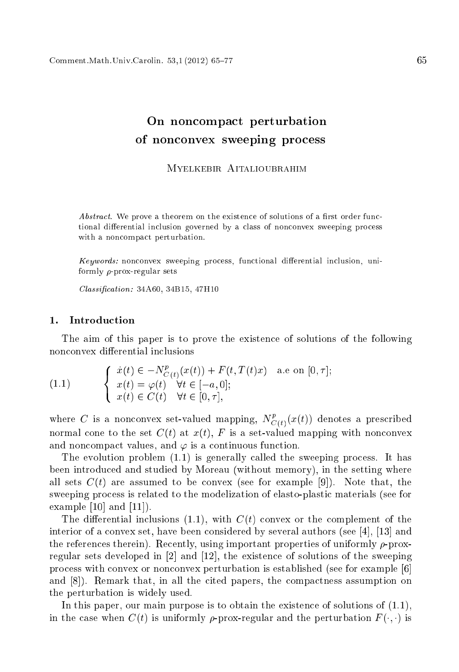# On non
ompa
t perturbation os assessed the state of the property property and the set

Myelkebir Aitalioubrahim

Abstract. We prove a theorem on the existence of solutions of a first order functional differential inclusion governed by a class of nonconvex sweeping process with a noncompact perturbation.

Keywords: nonconvex sweeping process, functional differential inclusion, uniformly  $\rho$ -prox-regular sets

Classification: 34A60, 34B15, 47H10

### 1. Introduction

The aim of this paper is to prove the existen
e of solutions of the following nonconvex differential inclusions

(1.1) 
$$
\begin{cases} \dot{x}(t) \in -N_{C(t)}^{p}(x(t)) + F(t, T(t)x) & \text{a.e on } [0, \tau]; \\ x(t) = \varphi(t) & \forall t \in [-a, 0]; \\ x(t) \in C(t) & \forall t \in [0, \tau], \end{cases}
$$

where C is a nonconvex set-valued mapping,  $N_{C(t)}^p(x(t))$  denotes a prescribed normal cone to the set  $C(t)$  at  $x(t)$ , F is a set-valued mapping with nonconvex and noncompact values, and  $\varphi$  is a continuous function.

The evolution problem  $(1.1)$  is generally called the sweeping process. It has been introdu
ed and studied by Moreau (without memory), in the setting where all sets  $C(t)$  are assumed to be convex (see for example [9]). Note that, the sweeping pro
ess is related to the modelization of elasto-plasti materials (see for example  $[10]$  and  $[11]$ .

The differential inclusions  $(1.1)$ , with  $C(t)$  convex or the complement of the interior of a convex set, have been considered by several authors (see [4], [13] and the references therein). Recently, using important properties of uniformly  $\rho$ -proxregular sets developed in  $[2]$  and  $[12]$ , the existence of solutions of the sweeping process with convex or nonconvex perturbation is established (see for example [6] and  $[8]$ . Remark that, in all the cited papers, the compactness assumption on the perturbation is widely used.

In this paper, our main purpose is to obtain the existence of solutions of  $(1.1)$ , in the case when  $C(t)$  is uniformly  $\rho$ -prox-regular and the perturbation  $F(\cdot, \cdot)$  is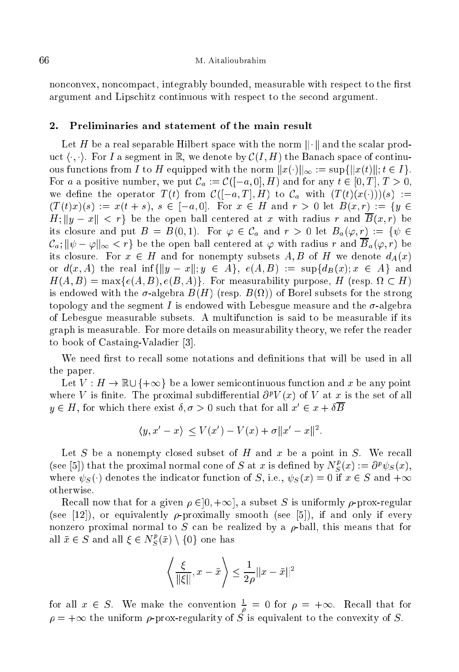nonconvex, noncompact, integrably bounded, measurable with respect to the first argument and Lips
hitz ontinuous with respe
t to the se
ond argument.

### $2.$ Preliminaries and statement of the main result

Let H be a real separable Hilbert space with the norm  $\|\cdot\|$  and the scalar product  $\langle \cdot, \cdot \rangle$ . For I a segment in R, we denote by  $\mathcal{C}(I, H)$  the Banach space of continuous functions from I to H equipped with the norm  $||x(\cdot)||_{\infty} := \sup{||x(t)||; t \in I}$ . For a a positive number, we put  $\mathcal{C}_a := \mathcal{C}([-a, 0], H)$  and for any  $t \in [0, T], T > 0$ , we define the operator  $T(t)$  from  $\mathcal{C}([-a,T],H)$  to  $\mathcal{C}_a$  with  $(T(t)(x(\cdot)))(s) :=$  $(T(t)x)(s) := x(t + s), s \in [-a, 0].$  For  $x \in H$  and  $r > 0$  let  $B(x, r) := \{y \in$  $H: \|y - x\| < r$  be the open ball centered at x with radius r and  $\overline{B}(x,r)$  be its closure and put  $B = B(0,1)$ . For  $\varphi \in C_a$  and  $r > 0$  let  $B_a(\varphi, r) := \{ \psi \in$  $\mathcal{C}_a: ||\psi - \varphi||_{\infty} < r$  be the open ball centered at  $\varphi$  with radius r and  $\overline{B}_a(\varphi, r)$  be its closure. For  $x \in H$  and for nonempty subsets A, B of H we denote  $d_A(x)$ or  $d(x, A)$  the real inf{ $||y - x||$ ;  $y \in A$ },  $e(A, B) := \sup\{d_B(x): x \in A\}$  and H(A; B) = maxfe(A; B); e(B ; A)g. For measurability purpose, H (resp. H) is endowed with the -algebra B(H) (resp. B(1)) of Borel subsets for the strong topology and the segment I is endowed with Lebesgue measure and the  $\sigma$ -algebra of Lebesgue measurable subsets. A multifun
tion is said to be measurable if its graph is measurable. For more details on measurability theory, we refer the reader to book of Castaing-Valadier [3].

We need first to recall some notations and definitions that will be used in all the paper.

Let  $V: H \to \mathbb{R} \cup \{+\infty\}$  be a lower semicontinuous function and x be any point where V is finite. The proximal subdifferential  $\partial^p V(x)$  of V at x is the set of all  $y \in H$ , for which there exist  $\theta, \sigma > 0$  such that for all  $x \in x + \theta D$ 

$$
\langle y, x'-x \rangle \le V(x') - V(x) + \sigma ||x'-x||^2.
$$

Let S be a nonempty closed subset of H and x be a point in S. We recall (see [5]) that the proximal normal cone of S at x is defined by  $N_S^p(x) := \partial^p \psi_S(x)$ , where  $\psi_S(\cdot)$  denotes the indicator function of S, i.e.,  $\psi_S(x) = 0$  if  $x \in S$  and  $+\infty$ otherwise.

Recall now that for a given  $\rho \in ]0, +\infty]$ , a subset S is uniformly  $\rho$ -prox-regular (see [12]), or equivalently  $\rho$ -proximally smooth (see [5]), if and only if every nonzero proximal normal to S can be realized by a  $\rho$ -ball, this means that for all  $\bar{x} \in S$  and all  $\xi \in N_S^p(\bar{x}) \setminus \{0\}$  one has

$$
\left\langle \frac{\xi}{\|\xi\|}, x - \bar{x} \right\rangle \le \frac{1}{2\rho} \|x - \bar{x}\|^2
$$

for all  $x \in S$ . We make the convention  $\frac{1}{\rho} = 0$  for  $\rho = +\infty$ . Recall that for  $\rho = +\infty$  the uniform  $\rho$ -prox-regularity of S is equivalent to the convexity of S.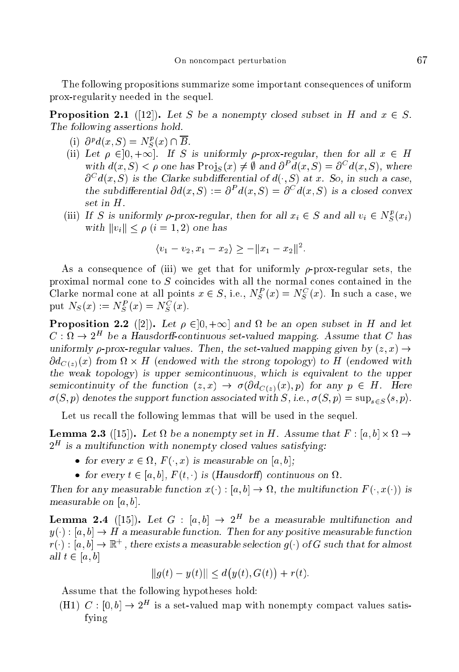The following propositions summarize some important onsequen
es of uniform prox-regularity needed in the sequel.

**Proposition 2.1** ([12]). Let S be a nonempty closed subset in H and  $x \in S$ . The following assertions hold.

- (i)  $\partial^p d(x, S) = N_S^p(x) \cap \overline{B}$ .
- (ii) Let  $\rho \in ]0, +\infty]$ . If S is uniformly  $\rho$ -prox-regular, then for all  $x \in H$ with  $d(x, S) < \rho$  one has  $\text{Proj}_S(x) \neq \emptyset$  and  $\partial^P d(x, S) = \partial^C d(x, S)$ , where  $\partial^C d(x, S)$  is the Clarke subdifferential of  $d(\cdot, S)$  at x. So, in such a case, the subdifferential  $\partial d(x, S) := \partial^P d(x, S) = \partial^C d(x, S)$  is a closed convex set in H.
- (iii) If S is uniformly  $\rho$ -prox-regular, then for all  $x_i \in S$  and all  $v_i \in N_S^p(x_i)$ with  $||v_i|| < \rho$   $(i = 1, 2)$  one has

$$
\langle v_1 - v_2, x_1 - x_2 \rangle \ge -||x_1 - x_2||^2.
$$

As a consequence of (iii) we get that for uniformly  $\rho$ -prox-regular sets, the proximal normal cone to  $S$  coincides with all the normal cones contained in the Clarke normal cone at all points  $x \in S$ , i.e.,  $N_S^P(x) = N_S^C(x)$ . In such a case, we put  $N_S(x) := N_S^P(x) = N_S^C(x)$ .

. Proposition 2.2 ([2]). 2.1 p. 20; +1.1 (12.1 p. 2.1 p. 2.2 p. 2.2 p. 2.2 p. 2.2 p. 2.2 p. 2.1 p. 2.1  $C: \Omega \to 2^H$  be a Hausdorff-continuous set-valued mapping. Assume that C has uniformly  $\rho$ -prox-regular values. Then, the set-valued mapping given by  $(z, x) \rightarrow$  $ou_{C(z)}(x)$  from  $u \times H$  (endowed with the strong topology) to H (endowed with the weak topology) is upper semi
ontinuous, whi
h is equivalent to the upper semicontinuity of the function  $(z, x) \rightarrow \sigma(\partial d_{C(z)}(x), p)$  for any  $p \in H$ . Here  $\sigma(S, p)$  denotes the support function associated with S, i.e.,  $\sigma(S, p) = \sup_{s \in S} \langle s, p \rangle$ .

Let us recall the following lemmas that will be used in the sequel.

Lemma 2.3 ([15℄). Let be a nonempty set in H. Assume that F : [a; b℄ - !  $2<sup>H</sup>$  is a multifunction with nonempty closed values satisfying:

- , for every x 2 is not an in the content on the part is
- for every t <sup>2</sup> [a; b℄, F (t; ) is (Hausdor) ontinuous on .

Then for any measurable fun
tion x() : [a; b℄ ! , the multifun
tion F (; x()) is measurable on  $[a, b]$ .

**Lemma 2.4** ([15]). Let  $G : [a, b] \rightarrow 2^H$  be a measurable multifunction and  $y(\cdot): [a, b] \to H$  a measurable function. Then for any positive measurable function  $r(\cdot): [a, b] \to \mathbb{R}^+$ , there exists a measurable selection  $g(\cdot)$  of G such that for almost all  $t \in [a, b]$ 

$$
||g(t) - y(t)|| \le d(y(t), G(t)) + r(t).
$$

Assume that the following hypotheses hold:

(H1) C :  $[0, b] \rightarrow 2^H$  is a set-valued map with nonempty compact values satisfying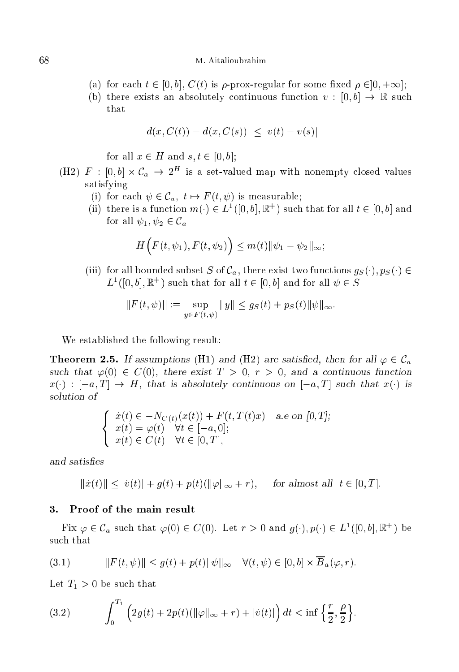- (a) for each  $t \in [0, b]$ ,  $C(t)$  is  $\rho$ -prox-regular for some fixed  $\rho \in ]0, +\infty]$ ;
- (b) there exists an absolutely continuous function  $v : [0, b] \to \mathbb{R}$  such that

$$
|d(x, C(t)) - d(x, C(s))| \le |v(t) - v(s)|
$$

for all  $x \in H$  and  $s, t \in [0, b]$ ;

- (H2)  $F : [0,b] \times C_a \rightarrow 2^H$  is a set-valued map with nonempty closed values satisfying
	- (i) for each  $\psi \in \mathcal{C}_a$ ,  $t \mapsto F(t, \psi)$  is measurable;
	- (ii) there is a function  $m(\cdot) \in L^{\infty}(\mathbb{U}, \emptyset)$ ,  $\mathbb{R}^{\infty}$  ) such that for all  $t \in \mathbb{U}, \emptyset$  and for all  $\psi_1, \psi_2 \in \mathcal{C}_a$

$$
H\Big(F(t,\psi_1),F(t,\psi_2)\Big)\leq m(t)\|\psi_1-\psi_2\|_{\infty};
$$

(iii) for all bounded subset S of  $\mathcal{C}_a$ , there exist two functions  $g_S(\cdot), p_S(\cdot) \in$  $L$  ( $[0, v]$ ,  $\mathbb{R}$  ) such that for all  $t \in [0, v]$  and for all  $\psi \in S$ 

$$
||F(t, \psi)|| := \sup_{y \in F(t, \psi)} ||y|| \le g_S(t) + p_S(t) ||\psi||_{\infty}.
$$

We established the following result:

**Theorem 2.5.** If assumptions (H1) and (H2) are satisfied, then for all  $\varphi \in \mathcal{C}_a$ such that  $\varphi(0) \in C(0)$ , there exist  $T > 0$ ,  $r > 0$ , and a continuous function  $x(\cdot)$ :  $[-a, T] \rightarrow H$ , that is absolutely continuous on  $[-a, T]$  such that  $x(\cdot)$  is solution of

$$
\begin{cases}\n\dot{x}(t) \in -N_{C(t)}(x(t)) + F(t, T(t)x) & a.e \text{ on } [0, T]; \\
x(t) = \varphi(t) \quad \forall t \in [-a, 0]; \\
x(t) \in C(t) \quad \forall t \in [0, T],\n\end{cases}
$$

 $||\dot{x}(t)|| \leq |\dot{v}(t)| + g(t) + p(t)(\|\varphi\|_{\infty} + r), \quad \text{ for almost all } t \in [0, T].$ 

## 3. Proof of the main result

Fix  $\varphi \in L_a$  such that  $\varphi(0) \in C(0)$ . Let  $r > 0$  and  $g(\cdot), p(\cdot) \in L^2([0,0], \mathbb{R}^+)$  be su
h that

(3.1) 
$$
||F(t,\psi)|| \leq g(t) + p(t)||\psi||_{\infty} \quad \forall (t,\psi) \in [0,b] \times \overline{B}_a(\varphi,r).
$$

Let  $T_1 > 0$  be such that

(3.2) 
$$
\int_0^{T_1} \left(2g(t) + 2p(t)(\|\varphi\|_{\infty} + r) + |\dot{v}(t)|\right) dt < \inf \left\{\frac{r}{2}, \frac{\rho}{2}\right\}.
$$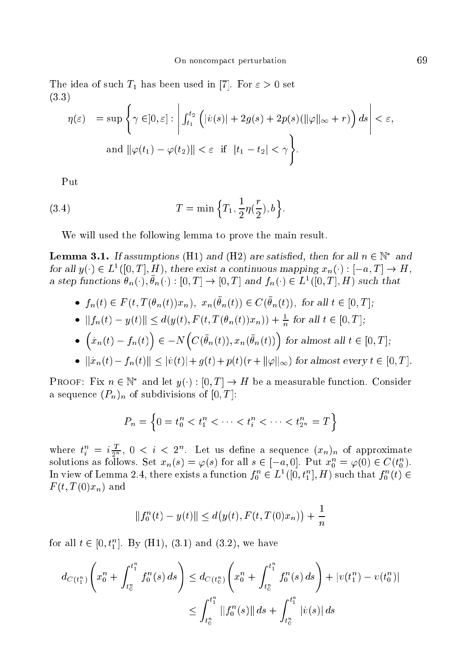The idea of such  $T_1$  has been used in [7]. For  $\varepsilon > 0$  set (3.3) a series de la provincia de la provincia de la provincia de la provincia de la provincia de la provincia de la

$$
\eta(\varepsilon) = \sup \left\{ \gamma \in ]0, \varepsilon] : \left| \int_{t_1}^{t_2} \left( |\dot{v}(s)| + 2g(s) + 2p(s)(\|\varphi\|_{\infty} + r) \right) ds \right| < \varepsilon,
$$
  
and  $\|\varphi(t_1) - \varphi(t_2)\| < \varepsilon$  if  $|t_1 - t_2| < \gamma$ .

Put

(3.4) 
$$
T = \min \left\{ T_1, \frac{1}{2} \eta(\frac{r}{2}), b \right\}.
$$

We will used the following lemma to prove the main result.

**Lemma 3.1.** If assumptions ( $\pi$ 1) and ( $\pi$ 2) are satisfied, then for an  $n \in \mathbb{N}$  and for all  $y(\cdot) \in L^2([0,1], H)$ , there exist a continuous mapping  $x_n(\cdot) : [-a,1] \to H$ , a step functions  $\sigma_n(\cdot), \sigma_n(\cdot) : [0,1] \to [0,1]$  and  $f_n(\cdot) \in L^2([0,1], H)$  such that

- $\bullet$   $f_n(t) \in T$  (t,  $T(v_n(t))x_n$ ),  $x_n(v_n(t)) \in U(v_n(t))$ , for all  $t \in [0,1]$ ,
- $||f_n(t) y(t)|| \leq a(y(t), f(t, t(\theta_n(t))x_n)) + \frac{1}{n}$  for all  $t \in [0, 1]$ ;

• 
$$
(\dot{x}_n(t) - f_n(t)) \in -N \Big( C(\bar{\theta}_n(t)), x_n(\bar{\theta}_n(t)) \Big)
$$
 for almost all  $t \in [0, T];$ 

•  $||x_n(t) - f_n(t)|| \leq |v(t)| + g(t) + p(t)(r + ||\varphi||_{\infty})$  for almost every  $t \in [0, T]$ .

PROOF: FIX  $n \in \mathbb{N}$  and let  $y(\cdot): [0,1] \to H$  be a measurable function. Consider a sequence  $(P_n)_n$  of subdivisions of  $[0, T]$ :

$$
P_n = \left\{0 = t_0^n < t_1^n < \dots < t_i^n < \dots < t_{2^n}^n = T\right\}
$$

where  $t_i^n = i \frac{T}{2^n}$ ,  $0 < i < 2^n$ . Let us define a sequence  $(x_n)_n$  of approximate solutions as follows. Set  $x_n(s) = \varphi(s)$  for all  $s \in [-a, 0]$ . Put  $x_0^n = \varphi(0) \in C(t_0^n)$ . In view of Lemma 2.4, there exists a function  $f_0^n \in L^1([0,t_1^n],H)$  such that  $f_0^n(t)$  $F(t, T(0)x_n)$  and

$$
||f_0^n(t) - y(t)|| \le d(y(t), F(t, T(0)x_n)) + \frac{1}{n}
$$

for all  $t \in [0, t_1^n]$ . By (H1), (3.1) and (3.2), we have

$$
d_{C(t_1^n)}\left(x_0^n + \int_{t_0^n}^{t_1^n} f_0^n(s) \, ds\right) \le d_{C(t_0^n)}\left(x_0^n + \int_{t_0^n}^{t_1^n} f_0^n(s) \, ds\right) + |v(t_1^n) - v(t_0^n)|
$$
  

$$
\le \int_{t_0^n}^{t_1^n} ||f_0^n(s)|| \, ds + \int_{t_0^n}^{t_1^n} |v(s)| \, ds
$$

a se de la provincia de la construcción de la construcción de la construcción de la construcción de la construcción de la construcción de la construcción de la construcción de la construcción de la construcción de la const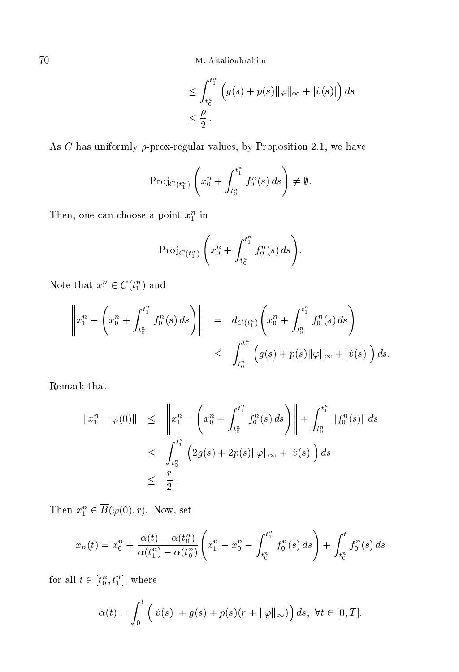70 M. Aitalioubrahim

$$
\leq \int_{t_0^n}^{t_1^n} \left( g(s) + p(s) ||\varphi||_{\infty} + |v(s)| \right) ds
$$
  

$$
\leq \frac{\rho}{2}.
$$

As C has uniformly  $\rho$ -prox-regular values, by Proposition 2.1, we have

$$
\operatorname{Proj}_{C(t_1^n)}\left(x_0^n + \int_{t_0^n}^{t_1^n} f_0^n(s) \, ds\right) \neq \emptyset.
$$

Then, one can choose a point  $x_1^n$  in

$$
\mathrm{Proj}_{C(t_1^n)} \left( x_0^n + \int_{t_0^n}^{t_1^n} f_0^n(s) \, ds \right).
$$

Note that  $x_1^n \in C(t_1^n)$  and

$$
\left\|x_1^n - \left(x_0^n + \int_{t_0^n}^{t_1^n} f_0^n(s) \, ds\right)\right\| = d_{C(t_1^n)}\left(x_0^n + \int_{t_0^n}^{t_1^n} f_0^n(s) \, ds\right)
$$
  

$$
\leq \int_{t_0^n}^{t_1^n} \left(g(s) + p(s) ||\varphi||_{\infty} + |\dot{v}(s)|\right) ds.
$$

Remark that

$$
||x_1^n - \varphi(0)|| \leq \left\| x_1^n - \left( x_0^n + \int_{t_0^n}^{t_1^n} f_0^n(s) \, ds \right) \right\| + \int_{t_0^n}^{t_1^n} ||f_0^n(s)|| \, ds
$$
  

$$
\leq \int_{t_0^n}^{t_1^n} \left( 2g(s) + 2p(s) ||\varphi||_{\infty} + |v(s)| \right) ds
$$
  

$$
\leq \frac{r}{2}.
$$

Then  $x_1^n \in B(\varphi(0), r)$ . Now, set

$$
x_n(t) = x_0^n + \frac{\alpha(t) - \alpha(t_0^n)}{\alpha(t_1^n) - \alpha(t_0^n)} \left( x_1^n - x_0^n - \int_{t_0^n}^{t_1^n} f_0^n(s) \, ds \right) + \int_{t_0^n}^t f_0^n(s) \, ds
$$

for all  $t \in \left[t_0^n,t_1^n\right],$  where

$$
\alpha(t) = \int_0^t \left( |\dot{v}(s)| + g(s) + p(s)(r + ||\varphi||_\infty) \right) ds, \ \forall t \in [0, T].
$$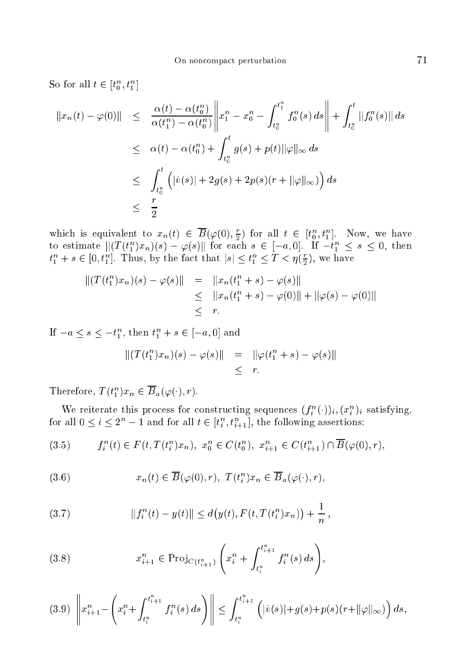So for all  $t \in [t_0^n, t_1^n]$ 

$$
||x_n(t) - \varphi(0)|| \leq \frac{\alpha(t) - \alpha(t_0^n)}{\alpha(t_1^n) - \alpha(t_0^n)} \left\| x_1^n - x_0^n - \int_{t_0^n}^{t_1^n} f_0^n(s) \, ds \right\| + \int_{t_0^n}^t ||f_0^n(s)|| \, ds
$$
  
\n
$$
\leq \alpha(t) - \alpha(t_0^n) + \int_{t_0^n}^t g(s) + p(t) ||\varphi||_{\infty} \, ds
$$
  
\n
$$
\leq \int_{t_0^n}^t \left( |v(s)| + 2g(s) + 2p(s)(r + ||\varphi||_{\infty}) \right) ds
$$
  
\n
$$
\leq \frac{r}{2}
$$

which is equivalent to  $x_n(t) \in \overline{B}(\varphi(0), \frac{r}{2})$  for all  $t \in [t_0^n, t_1^n]$ . Now, we have<br>to estimate  $||(T(t_1^n)x_n)(s) - \varphi(s)||$  for each  $s \in [-a, 0]$ . If  $-t_1^n \le s \le 0$ , then  $t_1^n + s \in [0, t_1^n]$ . Thus, by the fact that  $|s| \leq t_1^n \leq T < \eta(\frac{r}{2})$ , we have

$$
||(T(t_1^n)x_n)(s) - \varphi(s)|| = ||x_n(t_1^n + s) - \varphi(s)||
$$
  
\n
$$
\leq ||x_n(t_1^n + s) - \varphi(0)|| + ||\varphi(s) - \varphi(0)||
$$
  
\n
$$
\leq r.
$$

If  $-a \le s \le -t_1^n$ , then  $t_1^n + s \in [-a, 0]$  and

$$
||(T(t_1^n)x_n)(s) - \varphi(s)|| = ||\varphi(t_1^n + s) - \varphi(s)||
$$
  

$$
\leq r.
$$

Therefore,  $T(t_1^n)x_n \in \overline{B}_a(\varphi(\cdot),r)$ .

We reiterate this process for constructing sequences  $(f_i^n(\cdot))_i, (x_i^n)_i$  satisfying, for all  $0 \leq i \leq 2^n - 1$  and for all  $t \in [t_i^n, t_{i+1}^n]$ , the following assertions:

$$
(3.5) \t f_i^n(t) \in F(t, T(t_i^n)x_n), \; x_0^n \in C(t_0^n), \; x_{i+1}^n \in C(t_{i+1}^n) \cap \overline{B}(\varphi(0), r),
$$

(3.6) 
$$
x_n(t) \in \overline{B}(\varphi(0), r), T(t_i^n)x_n \in \overline{B}_a(\varphi(\cdot), r).
$$

(3.7) 
$$
||f_i^n(t) - y(t)|| \leq d(y(t), F(t, T(t_i^n)x_n)) + \frac{1}{n},
$$

(3.8) 
$$
x_{i+1}^n \in \text{Proj}_{C(t_{i+1}^n)}\left(x_i^n + \int_{t_i^n}^{t_{i+1}^n} f_i^n(s) \, ds\right),
$$

$$
(3.9)\ \left\|x_{i+1}^n - \left(x_i^n + \int_{t_i^n}^{t_{i+1}^n} f_i^n(s) \, ds\right)\right\| \le \int_{t_i^n}^{t_{i+1}^n} \left(|\dot{v}(s)| + g(s) + p(s)(r + ||\varphi||_{\infty})\right) ds,
$$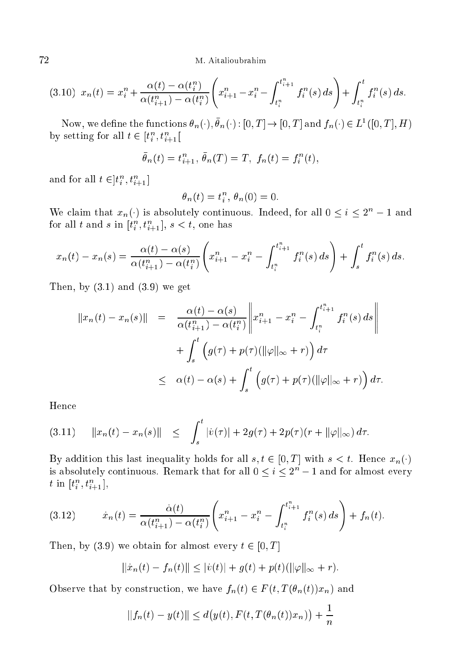72 M. Aitalioubrahim

$$
(3.10) \ \ x_n(t) = x_i^n + \frac{\alpha(t) - \alpha(t_i^n)}{\alpha(t_{i+1}^n) - \alpha(t_i^n)} \left( x_{i+1}^n - x_i^n - \int_{t_i^n}^{t_{i+1}^n} f_i^n(s) \, ds \right) + \int_{t_i^n}^t f_i^n(s) \, ds.
$$

Now, we define the functions  $\sigma_n(\cdot), \sigma_n(\cdot) : [0,1] \to [0,1]$  and  $f_n(\cdot) \in L^2([0,1], H)$ by setting for all  $t \in [t_i^n, t_{i+1}^n]$ 

$$
\bar{\theta}_n(t) = t_{i+1}^n, \ \bar{\theta}_n(T) = T, \ f_n(t) = f_i^n(t),
$$

and for all  $t \in ]t_i^n, t_{i+1}^n]$ 

$$
\theta_n(t) = t_i^n, \ \theta_n(0) = 0.
$$

We claim that  $x_n(\cdot)$  is absolutely continuous. Indeed, for all  $0 \leq i \leq 2^n - 1$  and for all  $t$  and  $s$  in  $[t_i^n,t_{i+1}^n], s < t,$  one has

$$
x_n(t) - x_n(s) = \frac{\alpha(t) - \alpha(s)}{\alpha(t_{i+1}^n) - \alpha(t_i^n)} \left( x_{i+1}^n - x_i^n - \int_{t_i^n}^{t_{i+1}^n} f_i^n(s) \, ds \right) + \int_s^t f_i^n(s) \, ds.
$$

Then, by  $(3.1)$  and  $(3.9)$  we get

$$
||x_n(t) - x_n(s)|| = \frac{\alpha(t) - \alpha(s)}{\alpha(t_{i+1}^n) - \alpha(t_i^n)} \left\| x_{i+1}^n - x_i^n - \int_{t_i^n}^{t_{i+1}^n} f_i^n(s) ds \right\|
$$
  
+ 
$$
\int_s^t \left( g(\tau) + p(\tau)(||\varphi||_{\infty} + r) \right) d\tau
$$
  

$$
\leq \alpha(t) - \alpha(s) + \int_s^t \left( g(\tau) + p(\tau)(||\varphi||_{\infty} + r) \right) d\tau.
$$

Hen
e

$$
(3.11) \t ||x_n(t) - x_n(s)|| \leq \int_s^t |\dot{v}(\tau)| + 2g(\tau) + 2p(\tau)(r + ||\varphi||_{\infty}) d\tau.
$$

By addition this last inequality holds for all  $s, t \in [0, T]$  with  $s < t$ . Hence  $x_n(\cdot)$ is absolutely continuous. Remark that for all  $0\leq i\leq 2^n-1$  and for almost every  $t \in [t_i^n, t_{i+1}^n],$ 

$$
(3.12) \t\t \dot{x}_n(t) = \frac{\dot{\alpha}(t)}{\alpha(t_{i+1}^n) - \alpha(t_i^n)} \left( x_{i+1}^n - x_i^n - \int_{t_i^n}^{t_{i+1}^n} f_i^n(s) \, ds \right) + f_n(t).
$$

Then, by (3.9) we obtain for almost every  $t \in [0, T]$ 

$$
||\dot{x}_n(t) - f_n(t)|| \le |\dot{v}(t)| + g(t) + p(t)(||\varphi||_{\infty} + r).
$$

Observe that by construction, we have  $f_n(t) \in F(t, T(\theta_n(t))x_n)$  and

$$
||f_n(t) - y(t)|| \le d(y(t), F(t, T(\theta_n(t))x_n)) + \frac{1}{n}
$$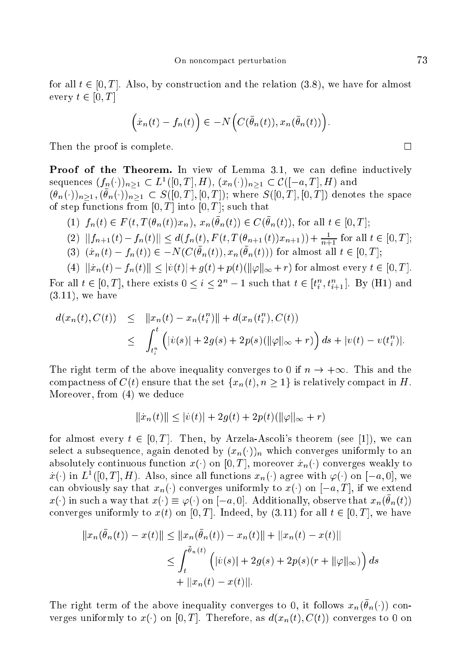for all  $t \in [0, T]$ . Also, by construction and the relation (3.8), we have for almost every  $t \in [0, T]$ 

$$
\Big(\dot{x}_n(t)-f_n(t)\Big)\in -N\Big(C(\bar{\theta}_n(t)), x_n(\bar{\theta}_n(t))\Big).
$$

Then the proof is complete.

Proof of the Theorem. In view of Lemma 3.1, we can define inductively sequences  $(f_n(\cdot))_{n\geq 1} \subset L^1([0,T],H)$ ,  $(x_n(\cdot))_{n\geq 1} \subset C([-a,T],H)$  and  $(\theta_n(\cdot))_{n>1}, (\bar{\theta}_n(\cdot))_{n>1} \subset S([0,T], [0,T]);$  where  $S([0,T], [0,T])$  denotes the space of step functions from  $[0, T]$  into  $[0, T]$ ; such that

- (1)  $f_n(t) \in F(t, T(\theta_n(t))x_n), x_n(\bar{\theta}_n(t)) \in C(\bar{\theta}_n(t)),$  for all  $t \in [0, T]$ ;
- (2)  $||f_{n+1}(t) f_n(t)|| \leq d(f_n(t), F(t, T(\theta_{n+1}(t))x_{n+1})) + \frac{1}{n+1}$  for all  $t \in [0, T]$ ;<br>(3)  $(\dot{x}_n(t) f_n(t)) \in -N(C(\bar{\theta}_n(t)), x_n(\bar{\theta}_n(t)))$  for almost all  $t \in [0, T]$ ;
- 

(4)  $\|\dot{x}_n(t) - f_n(t)\| \leq |\dot{v}(t)| + g(t) + p(t)(\|\varphi\|_{\infty} + r)$  for almost every  $t \in [0, T]$ . For all  $t \in [0, T]$ , there exists  $0 \leq i \leq 2^{n} - 1$  such that  $t \in [t_i^n, t_{i+1}^n]$ . By (H1) and  $(3.11)$ , we have

$$
d(x_n(t), C(t)) \leq ||x_n(t) - x_n(t_i^n)|| + d(x_n(t_i^n), C(t))
$$
  
 
$$
\leq \int_{t_i^n}^t (|v(s)| + 2g(s) + 2p(s)(||\varphi||_{\infty} + r)) ds + |v(t) - v(t_i^n)|.
$$

The right term of the above inequality converges to 0 if  $n \to +\infty$ . This and the compactness of  $C(t)$  ensure that the set  $\{x_n(t), n \geq 1\}$  is relatively compact in H. Moreover, from (4) we deduce

$$
||\dot{x}_n(t)|| \le |\dot{v}(t)| + 2g(t) + 2p(t)(||\varphi||_{\infty} + r)
$$

for almost every  $t \in [0, T]$ . Then, by Arzela-Ascoli's theorem (see [1]), we can select a subsequence, again denoted by  $(x_n(\cdot))_n$  which converges uniformly to an absolutely continuous function  $x(\cdot)$  on [0, T], moreover  $\dot{x}_n(\cdot)$  converges weakly to  $\dot{x}(\cdot)$  in  $L^1([0,T], H)$ . Also, since all functions  $x_n(\cdot)$  agree with  $\varphi(\cdot)$  on  $[-a, 0]$ , we can obviously say that  $x_n(\cdot)$  converges uniformly to  $x(\cdot)$  on  $[-a, T]$ , if we extend  $x(\cdot)$  in such a way that  $x(\cdot) \equiv \varphi(\cdot)$  on  $[-a, 0]$ . Additionally, observe that  $x_n(\bar{\theta}_n(t))$ converges uniformly to  $x(t)$  on [0, T]. Indeed, by (3.11) for all  $t \in [0, T]$ , we have

$$
||x_n(\theta_n(t)) - x(t)|| \le ||x_n(\theta_n(t)) - x_n(t)|| + ||x_n(t) - x(t)||
$$
  
\n
$$
\le \int_t^{\bar{\theta}_n(t)} \left( |v(s)| + 2g(s) + 2p(s)(r + ||\varphi||_{\infty}) \right) ds
$$
  
\n
$$
+ ||x_n(t) - x(t)||.
$$

The right term of the above inequality converges to 0, it follows  $x_n(\bar{\theta}_n(\cdot))$  converges uniformly to  $x(\cdot)$  on [0, T]. Therefore, as  $d(x_n(t), C(t))$  converges to 0 on

 $\Box$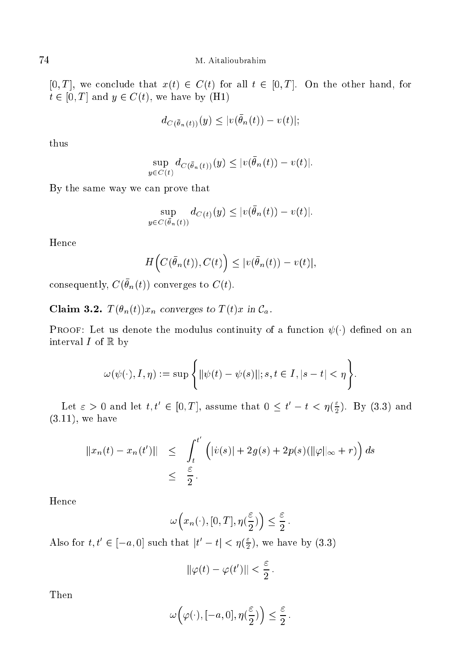[0, T], we conclude that  $x(t) \in C(t)$  for all  $t \in [0, T]$ . On the other hand, for  $t \in [0, T]$  and  $y \in C(t)$ , we have by (H1)

$$
d_{C(\bar{\theta}_n(t))}(y) \le |v(\bar{\theta}_n(t)) - v(t)|;
$$

thus

$$
\sup_{y \in C(t)} d_{C(\bar{\theta}_n(t))}(y) \le |v(\bar{\theta}_n(t)) - v(t)|.
$$

By the same way we can prove that

$$
\sup_{y \in C(\bar{\theta}_n(t))} d_{C(t)}(y) \leq |v(\bar{\theta}_n(t)) - v(t)|.
$$

Hen
e

$$
H\Big(C(\bar{\theta}_n(t)), C(t)\Big) \leq |v(\bar{\theta}_n(t)) - v(t)|,
$$

consequently,  $\cup$  ( $v_n(t)$ ) converges to  $\cup$  ( $t$ ).

**Claim 3.2.**  $T(\theta_n(t))x_n$  converges to  $T(t)x$  in  $\mathcal{C}_a$ .

**PROOF:** Let us denote the modulus continuity of a function  $\psi(\cdot)$  defined on an interval  $I$  of  $\mathbb R$  by

$$
\omega(\psi(\cdot), I, \eta) := \sup \left\{ ||\psi(t) - \psi(s)||; s, t \in I, |s - t| < \eta \right\}.
$$

Let  $\varepsilon > 0$  and let  $t, t' \in [0, T]$ , assume that  $0 \leq t' - t \leq \eta(\frac{\varepsilon}{2})$  $2'$  (3.3) and  $2'$ (3.11), we have

$$
||x_n(t) - x_n(t')|| \le \int_t^{t'} \left( |\dot{v}(s)| + 2g(s) + 2p(s)(\|\varphi\|_{\infty} + r) \right) ds
$$
  

$$
\le \frac{\varepsilon}{2}.
$$

Hen
e

$$
\omega\left(x_n(\cdot), [0,T], \eta(\frac{\varepsilon}{2})\right) \le \frac{\varepsilon}{2}.
$$

Also for  $t, t' \in [-a, 0]$  such that  $|t'-t| < \eta$  ( $\frac{\varepsilon}{2}$ )  $2^{j}$ , we have by  $\sqrt{3}$ ,  $\sqrt{3}$ 

$$
\|\varphi(t)-\varphi(t')\|<\frac{\varepsilon}{2}
$$

Then

$$
\omega\left(\varphi(\cdot),[-a,0],\eta(\frac{\varepsilon}{2})\right)\leq \frac{\varepsilon}{2}
$$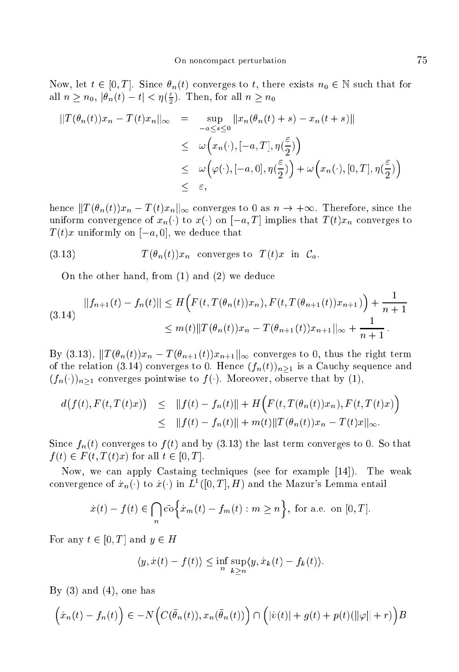Now, let  $t \in [0, T]$ . Since  $\theta_n(t)$  converges to t, there exists  $n_0 \in \mathbb{N}$  such that for all  $n \geq n_0$ ,  $|\theta_n(t) - t| < \eta(\frac{\varepsilon}{2})$ . Then, for all  $n \geq n_0$ 

$$
||T(\theta_n(t))x_n - T(t)x_n||_{\infty} = \sup_{-a \le s \le 0} ||x_n(\theta_n(t) + s) - x_n(t + s)||
$$
  
\n
$$
\le \omega\left(x_n(\cdot), [-a, T], \eta(\frac{\varepsilon}{2})\right)
$$
  
\n
$$
\le \omega\left(\varphi(\cdot), [-a, 0], \eta(\frac{\varepsilon}{2})\right) + \omega\left(x_n(\cdot), [0, T], \eta(\frac{\varepsilon}{2})\right)
$$
  
\n
$$
\le \varepsilon,
$$

hence  $||T(\theta_n(t))x_n - T(t)x_n||_{\infty}$  converges to 0 as  $n \to +\infty$ . Therefore, since the uniform convergence of  $x_n(\cdot)$  to  $x(\cdot)$  on  $[-a,T]$  implies that  $T(t)x_n$  converges to  $T(t)x$  uniformly on  $[-a, 0]$ , we deduce that

(3.13) 
$$
T(\theta_n(t))x_n
$$
 converges to  $T(t)x$  in  $\mathcal{C}_a$ 

On the other hand, from  $(1)$  and  $(2)$  we deduce

$$
||f_{n+1}(t) - f_n(t)|| \le H\Big(F(t, T(\theta_n(t))x_n), F(t, T(\theta_{n+1}(t))x_{n+1})\Big) + \frac{1}{n+1}
$$
  

$$
\le m(t) ||T(\theta_n(t))x_n - T(\theta_{n+1}(t))x_{n+1}||_{\infty} + \frac{1}{n+1}.
$$

By (3.13),  $||T(\theta_n(t))x_n - T(\theta_{n+1}(t))x_{n+1}||_{\infty}$  converges to 0, thus the right term of the relation (3.14) converges to 0. Hence  $(f_n(t))_{n\geq 1}$  is a Cauchy sequence and  $(f_n(\cdot))_{n\geq 1}$  converges pointwise to  $f(\cdot)$ . Moreover, observe that by (1),

$$
d(f(t), F(t,T(t)x)) \leq ||f(t) - f_n(t)|| + H\Big(F(t,T(\theta_n(t))x_n), F(t,T(t)x)\Big)
$$
  

$$
\leq ||f(t) - f_n(t)|| + m(t)||T(\theta_n(t))x_n - T(t)x||_{\infty}.
$$

Since  $f_n(t)$  converges to  $f(t)$  and by (3.13) the last term converges to 0. So that  $f(t) \in F(t, T(t)x)$  for all  $t \in [0, T]$ .

Now, we can apply Castaing techniques (see for example [14]). The weak convergence of  $\dot{x}_n(\cdot)$  to  $\dot{x}(\cdot)$  in  $L^1([0,T],H)$  and the Mazur's Lemma entail

$$
\dot{x}(t) - f(t) \in \bigcap_{n} \bar{\text{co}} \Big\{ \dot{x}_m(t) - f_m(t) : m \ge n \Big\}, \text{ for a.e. on } [0, T].
$$

For any  $t \in [0, T]$  and  $y \in H$ 

$$
\langle y, \dot{x}(t) - f(t) \rangle \leq \inf_{n} \sup_{k \geq n} \langle y, \dot{x}_k(t) - f_k(t) \rangle.
$$

By  $(3)$  and  $(4)$ , one has

$$
\left(\dot{x}_n(t) - f_n(t)\right) \in -N\Big(C(\bar{\theta}_n(t)), x_n(\bar{\theta}_n(t))\Big) \cap \Big(|\dot{v}(t)| + g(t) + p(t)(\|\varphi\| + r)\Big)B
$$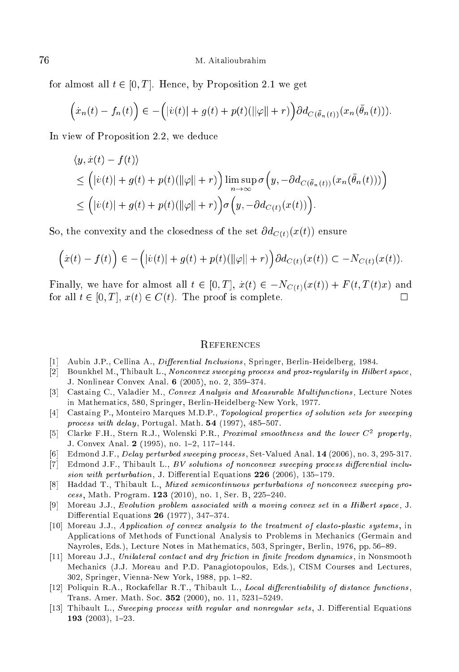for almost all  $t \in [0, T]$ . Hence, by Proposition 2.1 we get

$$
\left(\dot{x}_n(t) - f_n(t)\right) \in -\left(|\dot{v}(t)| + g(t) + p(t)(\|\varphi\| + r)\right) \partial d_{C(\bar{\theta}_n(t))}(x_n(\bar{\theta}_n(t))).
$$

In view of Proposition 2.2, we deduce

$$
\langle y, \dot{x}(t) - f(t) \rangle
$$
  
\n
$$
\leq (|\dot{v}(t)| + g(t) + p(t)(\|\varphi\| + r)) \limsup_{n \to \infty} \sigma(y, -\partial d_{C(\bar{\theta}_n(t))}(x_n(\bar{\theta}_n(t))) )
$$
  
\n
$$
\leq (|\dot{v}(t)| + g(t) + p(t)(\|\varphi\| + r)) \sigma(y, -\partial d_{C(t)}(x(t))).
$$

So, the convexity and the closedness of the set  $\partial d_{C(t)}(x(t))$  ensure

$$
\left(\dot{x}(t) - f(t)\right) \in -\left(|\dot{v}(t)| + g(t) + p(t)(\|\varphi\| + r)\right) \partial d_{C(t)}(x(t)) \subset -N_{C(t)}(x(t)).
$$

Finally, we have for almost all  $t \in [0, T]$ ,  $\dot{x}(t) \in -N_{C(t)}(x(t)) + F(t, T(t)x)$  and for all  $t \in [0, T]$ ,  $x(t) \in C(t)$ . The proof is complete. П

### **REFERENCES**

- Aubin J.P., Cellina A., Differential Inclusions, Springer, Berlin-Heidelberg, 1984.  $\Box$
- [2] Bounkhel M., Thibault L., Nonconvex sweeping process and prox-regularity in Hilbert space, J. Nonlinear Convex Anal. 6 (2005), no. 2, 359-374.
- [3] Castaing C., Valadier M., Convex Analysis and Measurable Multifunctions, Lecture Notes in Mathematics, 580, Springer, Berlin-Heidelberg-New York, 1977.
- [4] Castaing P., Monteiro Marques M.D.P., Topological properties of solution sets for sweeping process with delay, Portugal. Math. 54 (1997), 485-507.
- [5] Clarke F.H., Stern R.J., Wolenski P.R., *Proximal smoothness and the lower*  $C^2$  *property*, J. Convex Anal. 2 (1995), no. 1-2, 117-144.
- សា Edmond J.F., Delay perturbed sweeping process, Set-Valued Anal. 14 (2006), no. 3, 295-317.
- $[7]$ Edmond J.F., Thibault L., BV solutions of nonconvex sweeping process differential inclusion with perturbation, J. Differential Equations  $226$  (2006), 135-179.
- $\lceil 8 \rceil$ Haddad T., Thibault L., Mixed semicontinuous perturbations of nonconvex sweeping process, Math. Program. 123 (2010), no. 1, Ser. B, 225-240.
- Moreau J.J., Evolution problem associated with a moving convex set in a Hilbert space, J.  $|9|$ Differential Equations 26 (1977), 347-374.
- [10] Moreau J.J., Application of convex analysis to the treatment of elasto-plastic systems, in Applications of Methods of Functional Analysis to Problems in Mechanics (Germain and Nayroles, Eds.), Lecture Notes in Mathematics, 503, Springer, Berlin, 1976, pp. 56–89.
- [11] Moreau J.J., Unitateral contact and dry friction in finite freedom dynamics, in Nonsmooth Mechanics (J.J. Moreau and P.D. Panagiotopoulos, Eds.), CISM Courses and Lectures, 302, Springer, Vienna-New York, 1988, pp. 1-82.
- [12] Poliquin R.A., Rockafellar R.T., Thibault L., Local differentiability of distance functions, Trans. Amer. Math. Soc. 352 (2000), no. 11, 5231-5249.
- [13] Thibault L., Sweeping process with regular and nonregular sets, J. Differential Equations 193  $(2003)$ , 1-23.